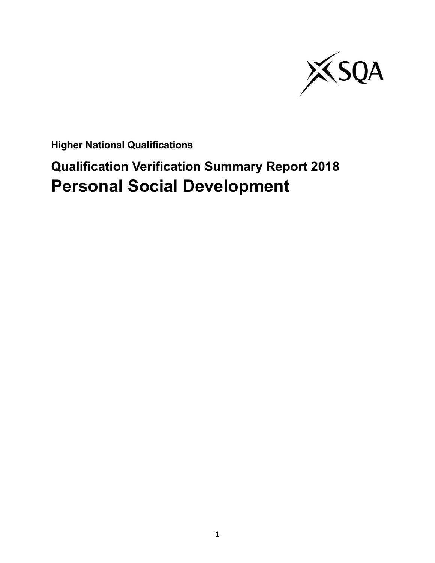

**Higher National Qualifications**

# **Qualification Verification Summary Report 2018 Personal Social Development**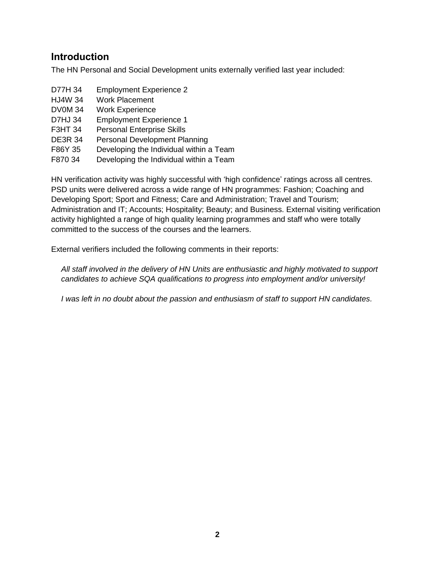### **Introduction**

The HN Personal and Social Development units externally verified last year included:

| D77H 34        | <b>Employment Experience 2</b>          |
|----------------|-----------------------------------------|
| <b>HJ4W 34</b> | <b>Work Placement</b>                   |
| <b>DV0M34</b>  | <b>Work Experience</b>                  |
| <b>D7HJ 34</b> | <b>Employment Experience 1</b>          |
| <b>F3HT 34</b> | <b>Personal Enterprise Skills</b>       |
| <b>DE3R 34</b> | <b>Personal Development Planning</b>    |
| F86Y 35        | Developing the Individual within a Team |
| F870 34        | Developing the Individual within a Team |

HN verification activity was highly successful with 'high confidence' ratings across all centres. PSD units were delivered across a wide range of HN programmes: Fashion; Coaching and Developing Sport; Sport and Fitness; Care and Administration; Travel and Tourism; Administration and IT; Accounts; Hospitality; Beauty; and Business. External visiting verification activity highlighted a range of high quality learning programmes and staff who were totally committed to the success of the courses and the learners.

External verifiers included the following comments in their reports:

*All staff involved in the delivery of HN Units are enthusiastic and highly motivated to support candidates to achieve SQA qualifications to progress into employment and/or university!*

*I was left in no doubt about the passion and enthusiasm of staff to support HN candidates.*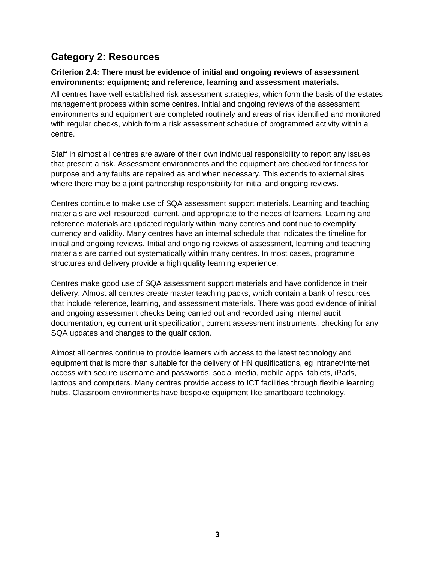## **Category 2: Resources**

#### **Criterion 2.4: There must be evidence of initial and ongoing reviews of assessment environments; equipment; and reference, learning and assessment materials.**

All centres have well established risk assessment strategies, which form the basis of the estates management process within some centres. Initial and ongoing reviews of the assessment environments and equipment are completed routinely and areas of risk identified and monitored with regular checks, which form a risk assessment schedule of programmed activity within a centre.

Staff in almost all centres are aware of their own individual responsibility to report any issues that present a risk. Assessment environments and the equipment are checked for fitness for purpose and any faults are repaired as and when necessary. This extends to external sites where there may be a joint partnership responsibility for initial and ongoing reviews.

Centres continue to make use of SQA assessment support materials. Learning and teaching materials are well resourced, current, and appropriate to the needs of learners. Learning and reference materials are updated regularly within many centres and continue to exemplify currency and validity. Many centres have an internal schedule that indicates the timeline for initial and ongoing reviews. Initial and ongoing reviews of assessment, learning and teaching materials are carried out systematically within many centres. In most cases, programme structures and delivery provide a high quality learning experience.

Centres make good use of SQA assessment support materials and have confidence in their delivery. Almost all centres create master teaching packs, which contain a bank of resources that include reference, learning, and assessment materials. There was good evidence of initial and ongoing assessment checks being carried out and recorded using internal audit documentation, eg current unit specification, current assessment instruments, checking for any SQA updates and changes to the qualification.

Almost all centres continue to provide learners with access to the latest technology and equipment that is more than suitable for the delivery of HN qualifications, eg intranet/internet access with secure username and passwords, social media, mobile apps, tablets, iPads, laptops and computers. Many centres provide access to ICT facilities through flexible learning hubs. Classroom environments have bespoke equipment like smartboard technology.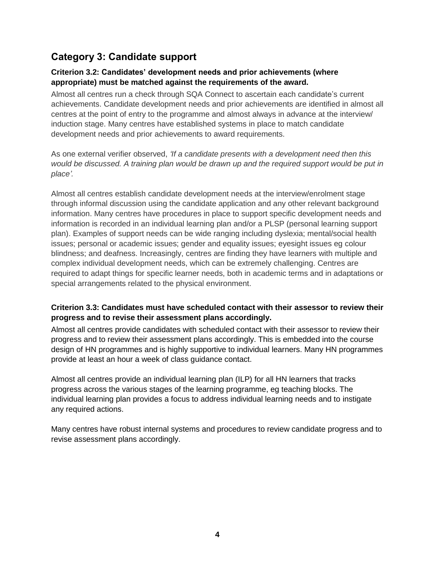## **Category 3: Candidate support**

#### **Criterion 3.2: Candidates' development needs and prior achievements (where appropriate) must be matched against the requirements of the award.**

Almost all centres run a check through SQA Connect to ascertain each candidate's current achievements. Candidate development needs and prior achievements are identified in almost all centres at the point of entry to the programme and almost always in advance at the interview/ induction stage. Many centres have established systems in place to match candidate development needs and prior achievements to award requirements.

As one external verifier observed, *'If a candidate presents with a development need then this would be discussed. A training plan would be drawn up and the required support would be put in place'.*

Almost all centres establish candidate development needs at the interview/enrolment stage through informal discussion using the candidate application and any other relevant background information. Many centres have procedures in place to support specific development needs and information is recorded in an individual learning plan and/or a PLSP (personal learning support plan). Examples of support needs can be wide ranging including dyslexia; mental/social health issues; personal or academic issues; gender and equality issues; eyesight issues eg colour blindness; and deafness. Increasingly, centres are finding they have learners with multiple and complex individual development needs, which can be extremely challenging. Centres are required to adapt things for specific learner needs, both in academic terms and in adaptations or special arrangements related to the physical environment.

#### **Criterion 3.3: Candidates must have scheduled contact with their assessor to review their progress and to revise their assessment plans accordingly.**

Almost all centres provide candidates with scheduled contact with their assessor to review their progress and to review their assessment plans accordingly. This is embedded into the course design of HN programmes and is highly supportive to individual learners. Many HN programmes provide at least an hour a week of class guidance contact.

Almost all centres provide an individual learning plan (ILP) for all HN learners that tracks progress across the various stages of the learning programme, eg teaching blocks. The individual learning plan provides a focus to address individual learning needs and to instigate any required actions.

Many centres have robust internal systems and procedures to review candidate progress and to revise assessment plans accordingly.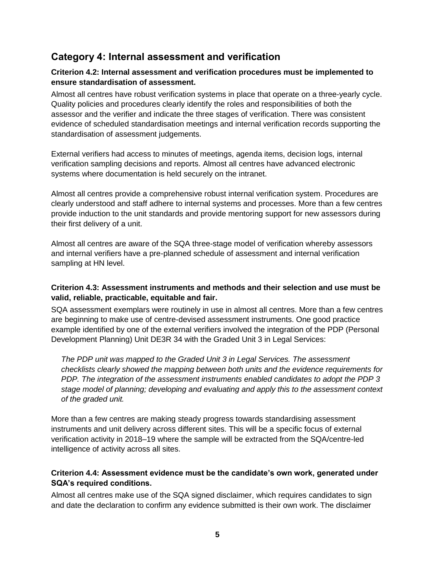## **Category 4: Internal assessment and verification**

#### **Criterion 4.2: Internal assessment and verification procedures must be implemented to ensure standardisation of assessment.**

Almost all centres have robust verification systems in place that operate on a three-yearly cycle. Quality policies and procedures clearly identify the roles and responsibilities of both the assessor and the verifier and indicate the three stages of verification. There was consistent evidence of scheduled standardisation meetings and internal verification records supporting the standardisation of assessment judgements.

External verifiers had access to minutes of meetings, agenda items, decision logs, internal verification sampling decisions and reports. Almost all centres have advanced electronic systems where documentation is held securely on the intranet.

Almost all centres provide a comprehensive robust internal verification system. Procedures are clearly understood and staff adhere to internal systems and processes. More than a few centres provide induction to the unit standards and provide mentoring support for new assessors during their first delivery of a unit.

Almost all centres are aware of the SQA three-stage model of verification whereby assessors and internal verifiers have a pre-planned schedule of assessment and internal verification sampling at HN level.

#### **Criterion 4.3: Assessment instruments and methods and their selection and use must be valid, reliable, practicable, equitable and fair.**

SQA assessment exemplars were routinely in use in almost all centres. More than a few centres are beginning to make use of centre-devised assessment instruments. One good practice example identified by one of the external verifiers involved the integration of the PDP (Personal Development Planning) Unit DE3R 34 with the Graded Unit 3 in Legal Services:

*The PDP unit was mapped to the Graded Unit 3 in Legal Services. The assessment checklists clearly showed the mapping between both units and the evidence requirements for PDP. The integration of the assessment instruments enabled candidates to adopt the PDP 3 stage model of planning; developing and evaluating and apply this to the assessment context of the graded unit.*

More than a few centres are making steady progress towards standardising assessment instruments and unit delivery across different sites. This will be a specific focus of external verification activity in 2018–19 where the sample will be extracted from the SQA/centre-led intelligence of activity across all sites.

#### **Criterion 4.4: Assessment evidence must be the candidate's own work, generated under SQA's required conditions.**

Almost all centres make use of the SQA signed disclaimer, which requires candidates to sign and date the declaration to confirm any evidence submitted is their own work. The disclaimer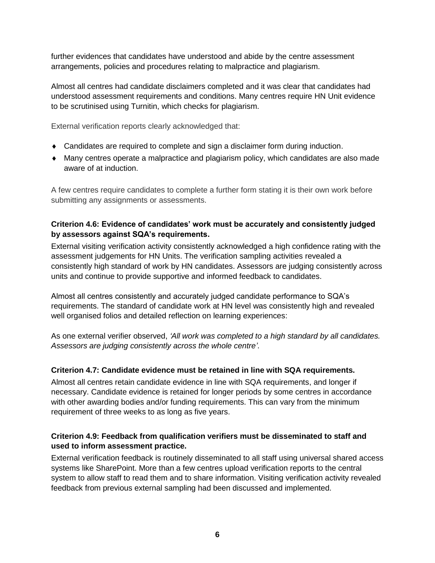further evidences that candidates have understood and abide by the centre assessment arrangements, policies and procedures relating to malpractice and plagiarism.

Almost all centres had candidate disclaimers completed and it was clear that candidates had understood assessment requirements and conditions. Many centres require HN Unit evidence to be scrutinised using Turnitin, which checks for plagiarism.

External verification reports clearly acknowledged that:

- Candidates are required to complete and sign a disclaimer form during induction.
- Many centres operate a malpractice and plagiarism policy, which candidates are also made aware of at induction.

A few centres require candidates to complete a further form stating it is their own work before submitting any assignments or assessments.

#### **Criterion 4.6: Evidence of candidates' work must be accurately and consistently judged by assessors against SQA's requirements.**

External visiting verification activity consistently acknowledged a high confidence rating with the assessment judgements for HN Units. The verification sampling activities revealed a consistently high standard of work by HN candidates. Assessors are judging consistently across units and continue to provide supportive and informed feedback to candidates.

Almost all centres consistently and accurately judged candidate performance to SQA's requirements. The standard of candidate work at HN level was consistently high and revealed well organised folios and detailed reflection on learning experiences:

As one external verifier observed, *'All work was completed to a high standard by all candidates. Assessors are judging consistently across the whole centre'*.

#### **Criterion 4.7: Candidate evidence must be retained in line with SQA requirements.**

Almost all centres retain candidate evidence in line with SQA requirements, and longer if necessary. Candidate evidence is retained for longer periods by some centres in accordance with other awarding bodies and/or funding requirements. This can vary from the minimum requirement of three weeks to as long as five years.

#### **Criterion 4.9: Feedback from qualification verifiers must be disseminated to staff and used to inform assessment practice.**

External verification feedback is routinely disseminated to all staff using universal shared access systems like SharePoint. More than a few centres upload verification reports to the central system to allow staff to read them and to share information. Visiting verification activity revealed feedback from previous external sampling had been discussed and implemented.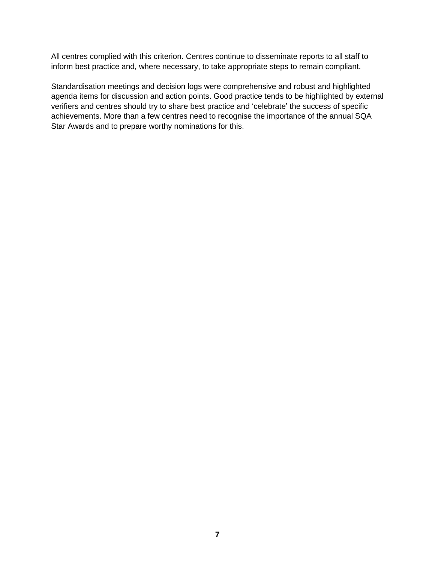All centres complied with this criterion. Centres continue to disseminate reports to all staff to inform best practice and, where necessary, to take appropriate steps to remain compliant.

Standardisation meetings and decision logs were comprehensive and robust and highlighted agenda items for discussion and action points. Good practice tends to be highlighted by external verifiers and centres should try to share best practice and 'celebrate' the success of specific achievements. More than a few centres need to recognise the importance of the annual SQA Star Awards and to prepare worthy nominations for this.